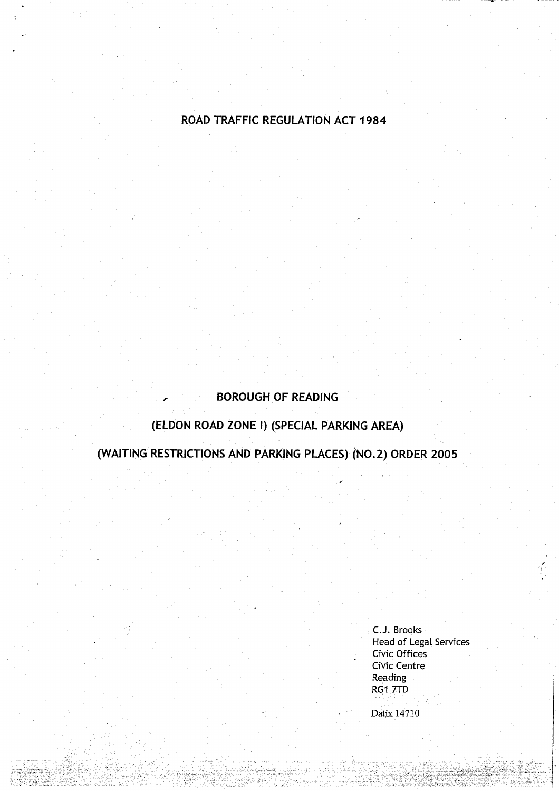# ROAD TRAFFIC **REGULATION** ACT 1984

# **BOROUGH OF READING**

# **(ELDON ROAD ZONE I) (SPECIAL PARKING AREA)**

**(WAITING RESTRICTIONS AND PARKING PLACES** ) (**NO .2) ORDER 2005**

C.J. Brooks **Head of Legal** Services Civic Offices Civic Centre **Reading** RG1 7TD Datix 14710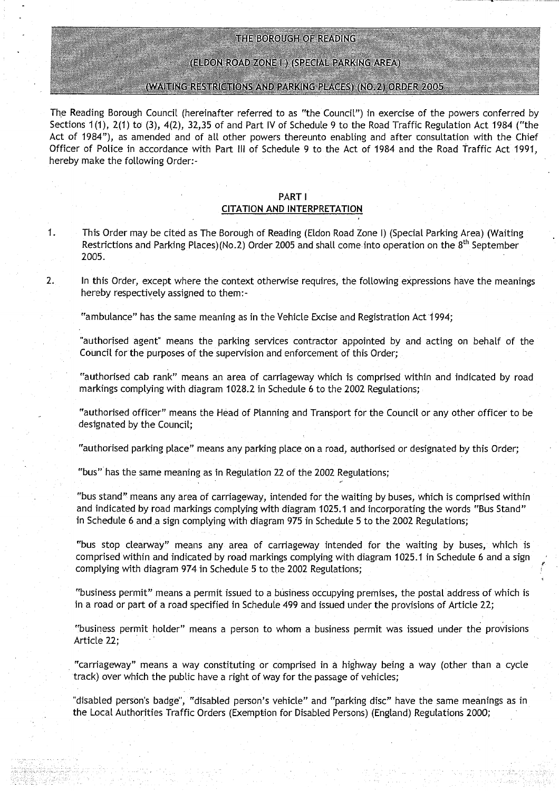#### THE BOROUGH OF READING

#### (ELDON ROAD ZONE I ) (SPECIAL PARKING AREA)

#### (WAITING RESTRICTIONS AND PARKING PLACES) (NO.2) ORDER 2005

The **Reading Borough Council (hereinafter referred to as** " **the Council** ") **in exercise of the powers conferred by Sections 1** (1), 2(1) to (3), **4(2), 32**, **35 of and Part IV of Schedule 9 to the Road** Traffic **Regulation Act 1984 ("the Act of 1984**"), **as amended and of all other powers thereunto enabling and after consultation with the Chief Officer of Police in accordance with Part III of Schedule 9 to the Act of 1984 and the Road Traffic Act 1991, hereby make the following Order :**

#### **PART** <sup>I</sup> **CITATION AND INTERPRETATION**

**<sup>1</sup> . This Order may be cited as The Borough of Reading** (**Eldon Road Zone I**) (**Special Parking Area** ) (**Waiting Restrictions and Parking Places**)(**No.2) Order 2005 and shall come into operation on the** 8 th **September 2005.**

**2. In this Order**, **except where the context otherwise requires, the following expressions have the meanings hereby respectively assigned to** them:-

"ambulance" has the same meaning as in the Vehicle Excise and Registration Act 1994;

**"authorised agent** " **means the parking services contractor appointed by and acting on behalf of the** Council for the purposes of the supervision and enforcement of this Order;

**"authorised cab rank" means an area of carriageway which is comprised within and indicated by road markings complying with diagram 1028** . **2 in Schedule 6 to the 2002 Regulations;**

**"authorised officer" means the Head of Planning and Transport for the Council or any other officer to be designated by the Council ;**

**"authorised parking place**" **means any parking place on a road, authorised or designated by this Order;**

**"bus" has the same meaning as in Regulation 22 of the 2002 Regulations;**

**"bus stand** " **means any area of carriageway** , **intended for the waiting by buses**, **which is comprised within and indicated** by road **markings complying with diagram 1025** . **1 and incorporating the words** "**Bus Stand"** in Schedule 6 and a sign complying with diagram 975 in Schedule 5 to the 2002 Regulations;

**"bus stop clearway" means any area of carriageway intended for the waiting by buses** , **which is comprised within and indicated by road markings complying with diagram 1025** . **1 in Schedule 6 and a sign** complying with diagram 974 in Schedule 5 to the 2002 Regulations;

**"business permit**" **means a permit issued to a business occupying premises, the postal address of which is** in a road or part of a road specified in Schedule 499 and issued under the provisions of Article 22;

**"business permit holder" means a person to whom a business permit was issued under the provisions Article 22;**

**"carriageway" means a way constituting or comprised in a highway being a way** (**other than a cycle track) over which the public have a right of way for the passage of vehicles;**

**"disabled person** '**s badge**", "**disabled person** '**s vehicle** " **and "parking disc" have the same meanings as in the Local Authorities Traffic Orders** (**Exemption for Disabled Persons**) (**England) Regulations 2000;**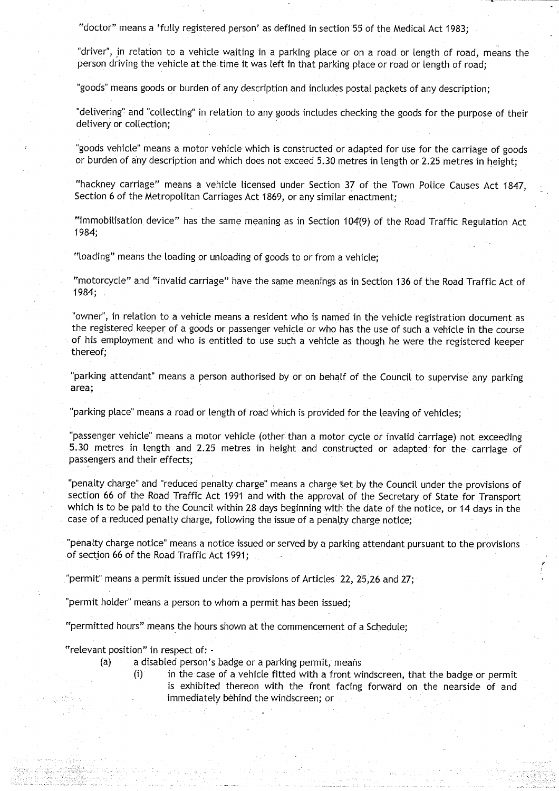"doctor" means a 'fully registered person' as defined in section 55 of the Medical Act 1983;

"driver", in relation to a vehicle waiting in a parking place or on a road or length of road, means the person driving the vehicle at the time it was left in that parking place or road or length of road;

"goods" means goods or burden of any description and includes postal packets of any description;

"delivering" and "collecting" in relation to any goods includes checking the goods for the purpose of their delivery or collection;

"goods vehicle" means a motor vehicle which is constructed or adapted for use for the carriage of goods or burden of any description and which does not exceed 5 .30 metres in length or 2 .25 metres in height;

"hackney carriage" means a vehicle licensed under Section 37 of the Town Police Causes Act 1847, Section 6 of the Metropolitan Carriages Act 1869, or any similar enactment;

"immobilisation device" has the same meaning as in Section 104(9) of the Road Traffic Regulation Act 1984;

"loading" means the loading or unloading of goods to or from a vehicle;

"motorcycle" and "invalid carriage" have the same meanings as in Section 136 of the Road Traffic Act of 1984;

"owner", in relation to a vehicle means a resident who is named in the vehicle registration document as the registered keeper of a goods or passenger vehicle or who has the use of such a vehicle in the course of his employment and who is entitled to use such a vehicle as though he were the registered keeper thereof;

"parking attendant" means a person authorised by or on behalf of the Council to supervise any parking area;

"parking place" means a road or length of road which is provided for the leaving of vehicles;

passenger vehicle" means a motor vehicle (other than a motor cycle or invalid carriage) not exceeding 5.30 metres in length and 2 .25 metres in height and constructed or adapted, for the carriage of passengers and their effects;

"penalty charge" and "reduced penalty charge" means a charge set by the Council under the provisions of section **66** of the Road Traffic Act 1991 and with the approval of the Secretary of State for Transport which is to be paid to the Council within 28 days beginning with the date of the notice, or 14 days in the case of a reduced penalty charge, following the issue of a penalty charge notice;

"penalty charge notice" means a notice issued or served by a parking attendant pursuant to the provisions of section 66 of the Road Traffic Act 1991;

"permit" means a permit issued under the provisions of Articles 22, 25,26 and 27;

"permit holder" means a person to whom a permit has been issued;

"permitted hours" means the hours shown at the commencement of a Schedule;

"relevant position" in respect of:

- (a) a disabled person's badge or a parking permit, means
	- (i) in the case of a vehicle fitted with a front windscreen, that the badge or permit is exhibited thereon with the front facing forward on the nearside of and immediately behind the windscreen; or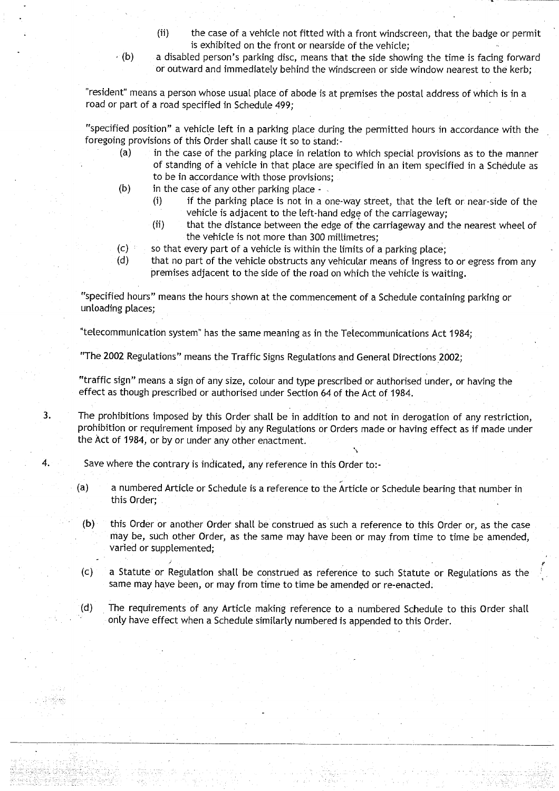- (ii) the case of a vehicle not fitted with a front windscreen, that the badge or permit is exhibited on the front or nearside of the vehicle;
- $(6)$  a disabled person's parking disc, means that the side showing the time is facing forward or outward and immediately behind the windscreen or side window nearest to the kerb;

"resident" means a person whose usual place of abode is at premises the postal address of which is in a road or part of a road specified in Schedule 499;

"specified position" a vehicle left in a parking place during the permitted hours in accordance with the foregoing provisions of this Order shall cause it so to stand:-

- (a) in the case of the parking place in relation to which special provisions as to the manner of standing of a vehicle in that place are specified in an item specified in a Schedule as to be in accordance with those provisions;
- $(b)$  in the case of any other parking place -
	- (i) if the parking place is not in a one-way street, that the left or near-side of the vehicle is adjacent to the left-hand edge of the carriageway;
	- (ii) that the distance between the edge of the carriageway and the nearest wheel of the vehicle is not more than 300 millimetres;
- (c) so that every part of a vehicle is within the limits of a parking place;<br>(d) that no part of the vehicle obstructs any vehicular means of ingress t
	- that no part of the vehicle obstructs any vehicular means of ingress to or egress from any premises adjacent to the side of the road on which the vehicle is waiting.

"specified hours" means the hours shown at the commencement of a Schedule containing parking or **unloading places ;**

"telecommunication system" has the same meaning as in the Telecommunications Act 1984;

"The 2002 Regulations" means the Traffic Signs Regulations and General Directions 2002;

**"traffic sign**" **means a sign of any size** , **colour and type prescribed or authorised under, or having the** effect as though prescribed or authorised under Section 64 of the Act of 1984 .

3. The prohibitions imposed by this Order shall be in addition to and not in derogation of any restriction, **prohibition or requirement imposed by any Regulations or Orders made or having effect as if made under** the Act of 1984, or by or under any other enactment.

4. Save where the contrary is indicated, any reference in this Order to:-

- (a) a numbered Article or Schedule is a reference to the Article or Schedule bearing that number in this Order;
- (b) this Order or another Order shall be construed as such a reference to this Order or, as the case may be, such other Order, as the same may have been or may from time to time be amended, **varied or supplemented ;**
- (c) a Statute or Regulation shall be construed as reference to such Statute or Regulations as the same may have been, or may from time to time be amended or re-enacted .
- (d) The requirements of any Article making reference to a numbered Schedule to this Order shall only have effect when a Schedule similarly numbered is appended to this Order .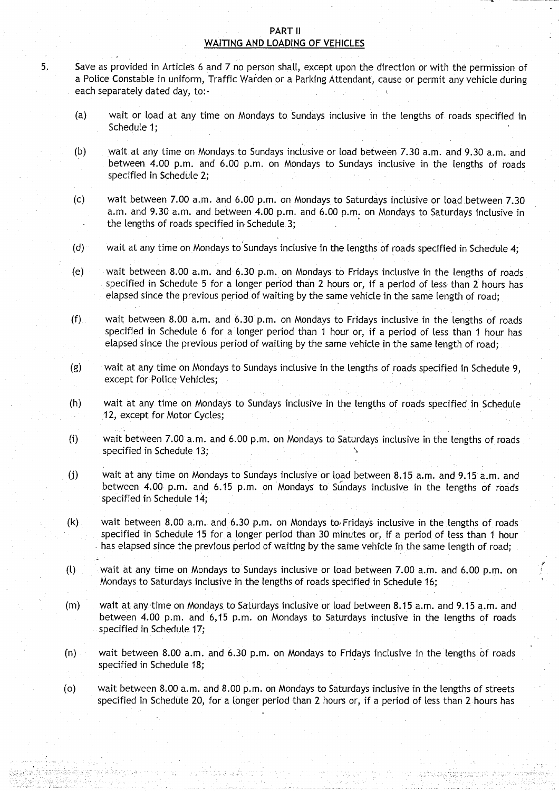#### PART II WAITING AND LOADING OF VEHICLES

<sup>5</sup> . Save as provided in Articles 6 and 7 no person shall, except upon the direction or with the permission of a Police Constable in uniform, Traffic Warden or a Parking Attendant, cause or permit any vehicle during each separately dated day, to:

- (a) wait or load at any time on Mondays to, Sundays inclusive in the lengths of roads specified in Schedule 1;
- (b) wait at any time on Mondays to Sundays inclusive or load between 7.30 a.m. and 9.30 a.m. and between 4.00 p.m. and 6.00 p.m. on Mondays to Sundays inclusive in the lengths of roads specified in Schedule 2;
- (c) wait between 7.00 a.m. and 6.00 p.m. on Mondays to Saturdays inclusive or load between 7.30 a.m. and 9.30 a.m. and between 4.00 p.m. and 6.00 p.m. on Mondays to Saturdays inclusive in the lengths of roads specified in Schedule 3;
- (d) wait at any time on Mondays to Sundays inclusive in the lengths of roads specified in Schedule 4 ;
- (e) wait between 8.00 a.m . and 6 .30 p .m. on Mondays to Fridays inclusive in the lengths of roads specified in Schedule 5 for a longer period than 2 hours or, if a period of less than 2 hours has elapsed since the previous period of waiting by the same vehicle in the same length of road;
- $(f)$  wait between 8.00 a.m. and 6.30 p.m. on Mondays to Fridays inclusive in the lengths of roads specified in Schedule 6 for a longer period than 1 hour or, if a period of less than 1 hour has elapsed since the previous period of waiting by the same vehicle in the same length of road;
- (g) wait at any time on Mondays to Sundays inclusive in the lengths of roads specified in Schedule 9, except for Police Vehicles;
- (h) wait at any time on Mondays to Sundays inclusive in the lengths of roads specified in Schedule 12, except for Motor Cycles;
- (i) wait between 7.00 a .m. and 6.00 p.m. on Mondays to Saturdays inclusive in the lengths of roads specified in Schedule 13;
- (j) wait at any time on Mondays to Sundays inclusive or toad between 8 .15 a.m. and 9.15 a .m . and between 4.00 p.m. and 6 .15 p.m . on Mondays to Sundays inclusive in the lengths of roads specified in Schedule 14;
- (k) wait between 8.00 a.m. and 6.30 p.m. on Mondays to Fridays inclusive in the lengths of roads specified in Schedule 15 for a longer period than 30 minutes or, if a period of less than 1 hour has elapsed since the previous period of waiting by the same vehicle in the same length of road;
- (l) wait at any time on Mondays to Sundays inclusive or toad between 7 .00 a .m. and 6 .00 p.m . on Mondays to Saturdays inclusive in the lengths of roads specified in Schedule 16;
- (m) wait at any time on Mondays. to Saturdays inclusive or load between 8 .15 a.m. and 9.15 a.m. and between 4.00 p.m. and 6,15 p.m. on Mondays to Saturdays inclusive in the lengths of roads specified in Schedule 17;
- (n) wait between 8.00 a .m . and 6.30 p.m. on Mondays to Fridays inclusive in the lengths of roads specified in Schedule 18;
- (o) wait between 8.00 a.m . and 8.00 p.m . on Mondays to Saturdays inclusive in the lengths of streets specified in Schedule 20, for a longer period than 2 hours or, if a period of less than 2 hours has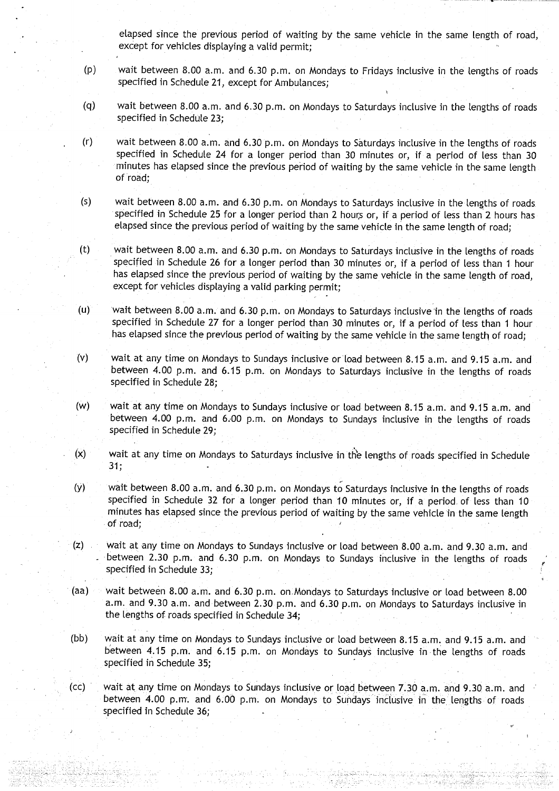elapsed since the previous period of waiting by the same vehicle in the same length of road, except for vehicles displaying a valid permit;

- (p) wait between 8.00 a.m. and 6.30 p.m . on Mondays to Fridays inclusive in the lengths of roads specified in Schedule 21, except for Ambulances;
- (q) wait between 8.00 a.m. and 6.30 p.m. on Mondays to Saturdays inclusive in the lengths of roads specified in Schedule 23;
- (r) wait between 8.00 a.m. and **6.30** p.m. on Mondays to Saturdays inclusive in the lengths of roads specified in Schedule 24 for a longer period than 30 minutes or, if a period of less than 30 minutes has elapsed since the previous period of waiting by the same vehicle in the same length of road;
- (s) wait between 8.00 a.m. and 6.30 p.m. on Mondays to Saturdays inclusive in the lengths of roads specified in Schedule 25 for a longer period than 2 hours or, if a period of less than 2 hours has elapsed since the previous period of waiting by the same vehicle in the same length of road ;
- (t) wait between 8.00 a .m . and 6.30 p.m. on Mondays to Saturdays inclusive in the lengths of roads specified in Schedule 26 for a longer period than 30 minutes or, if a period of less than 1 hour has elapsed since the previous period of waiting by the same vehicle in the same length of road, except for vehicles displaying a valid parking permit;
- (u) wait between 8.00 a.m. and 6.30 p.m. on Mondays to Saturdays inclusive in the lengths of roads specified in Schedule 27 for a longer period than 30 minutes or, if a period of less than 1 hour has elapsed since the previous period of waiting by the same vehicle in the same length of road;
- (v) wait at any time on Mondays to Sundays inclusive or load between 8 .15 a.m. and 9.15 a .m . and between 4.00 p.m. and 6.15 p.m. on Mondays to Saturdays inclusive in the lengths of roads specified in Schedule 28;
- (w) wait at any time on Mondays to Sundays inclusive or load between 8 .15 a.m. and 9.15 a.m . and between 4.00 p.m. and 6.00 p.m. on Mondays to Sundays inclusive in the lengths of roads specified in Schedule 29;
- (x) wait at any time on Mondays to Saturdays inclusive in the lengths of roads specified in Schedule  $31;$
- (y) wait between 8.00 a .m. and 6.30 p.m. on Mondays to Saturdays inclusive in the lengths of roads specified in Schedule 32 for a longer period than 10 minutes or, if a period of less than 10 minutes has elapsed since the previous period of waiting by the same vehicle 'in the same length of road,
- (z) wait at any time on Mondays to Sundays inclusive or load between 8.00 a.m. and 9.30 a.m. and between 2.30 p.m. and 6.30 p.m. on Mondays to Sundays inclusive in the lengths of roads specified in Schedule 33;
- (aa) wait between 8.00 a.m. and 6.30 p.m. on Mondays to Saturdays inclusive or load between 8.00 a.m. and 9.30 a.m. and between 2.30 p.m. and 6.30 p.m. on Mondays to Saturdays inclusive in the lengths of roads specified in Schedule 34;
- (bb) wait at any time on Mondays to Sundays inclusive or load between 8.15 a.m. and 9.15 a.m. and between 4.15 p.m. and 6.15 p.m. on Mondays to Sundays inclusive in the lengths of roads specified in Schedule 35;
- (cc) wait at any time on Mondays to Sundays inclusive or load between 7.30 a.m. and 9.30 a.m. and between 4.00 p.m. and 6.00 p.m. on Mondays to Sundays inclusive in the lengths of roads specified in Schedule 36;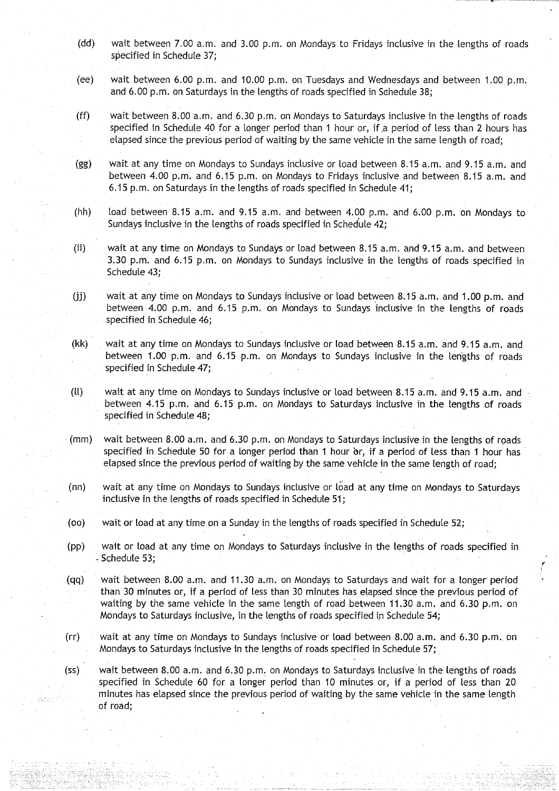- (dd) wait between 7.00 a.m. and 3.00 p.m. on Mondays to Fridays inclusive in the lengths of roads specified in Schedule 37;
- (ee) wait between 6.00 p.m. and 10.00 p.m. on Tuesdays and Wednesdays and between 1.00 p.m. and 6.00 p.m. on Saturdays in the lengths of roads specified in Schedule 38;
- (ff) wait between 8.00 a.m. and 6 .30 p.m . on Mondays to Saturdays inclusive in the lengths of roads specified in Schedule 40 for a longer period than 1 hour or, if a period of less than 2 hours has elapsed since the previous period of waiting by the same vehicle in the same length of road;
- (gg) wait at any time on Mondays to Sundays inclusive or load between 8 .15 a .m . and 9.15 a .m . and between 4.00 p.m. and 6.15 p.m. on Mondays to Fridays inclusive and between 8.15 a.m. and 6.15 p.m. on Saturdays in the lengths of roads specified in Schedule 41;
- (hh) load between 8.15 a.m. and 9.15 a.m. and between 4.00 p.m. and 6.00 p.m. on Mondays to Sundays inclusive in the lengths of roads specified in Schedule 42;
- (ii) wait at any time on Mondays to Sundays or load between 8.15 a.m. and 9.15 a.m. and between 3.30 p.m. and 6.15 p.m. on Mondays to Sundays inclusive in the lengths of roads specified in Schedule 43;
- (jj) wait at any time on Mondays to Sundays inclusive or load between 8.15 a.m. and 1.00 p.m. and between 4.00 p.m. and 6.15 p.m. on Mondays to Sundays inclusive in the lengths of roads specified in Schedule 46;
- (kk) wait at any time on Mondays to Sundays inclusive or load between 8 .15 a.m. and 9.15 a.m . and between 1.00 p.m. and 6.15 p.m. on Mondays to Sundays inclusive in the lengths of roads specified in Schedule 47;
- (ll) wait at any time on Mondays to Sundays inclusive or load between 8 .15 a.m. and 9.15 a.m . and between 4.15 p.m . and 6 .15 p.m. on Mondays to Saturdays inclusive in the lengths of roads specified in Schedule 48;
- (mm) wait between 8.00 a.m. and 6.30 p.m. on Mondays to Saturdays inclusive in the lengths of roads specified in Schedule 50 for a longer period than 1 hour or, if a period of less than 1 hour has elapsed since the previous period of waiting by the same vehicle in the same length of road;
- (nn) wait at any time on Mondays to Sundays inclusive or load at any time on Mondays to Saturdays inclusive in the lengths of roads specified in Schedule 51 ,
- (oo) wait or toad at any time on a Sunday in the lengths of roads specified in Schedule 52 ;
- (pp) wait or load at any time on Mondays to Saturdays inclusive in the lengths of roads specified in Schedule 53;
- (qq) wait between 8 .00 a.m . and 11 .30 a.m . on Mondays to Saturdays and wait for a longer period than 30 minutes or, if a period of less than 30 minutes has elapsed since the previous period of waiting by the same vehicle in the same length of road between 11.30 a.m. and 6.30 p.m. on Mondays to Saturdays inclusive, in the lengths of roads specified in Schedule 54;
- (rr) wait at any time on Mondays to Sundays inclusive or load between 8 .00 a.m. and 6 .30 p.m ., on Mondays to Saturdays inclusive in the lengths of roads specified in Schedule 57;
- (ss) wait between 8.00 a.m. and 6.30 p.m. on Mondays to Saturdays inclusive in the lengths of roads specified in Schedule 60 for a longer period than 10 minutes or, if a period of less than 20 minutes has elapsed since the previous period of waiting by the same vehicle in the same length of road;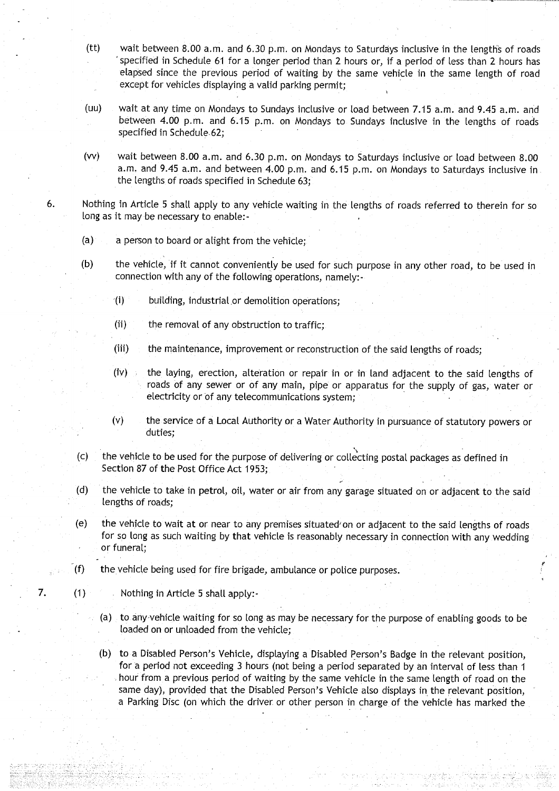- $(t)$  wait between 8.00 a.m. and 6.30 p.m. on Mondays to Saturdays inclusive in the lengths of roads specified in Schedule 61 for a longer period than 2 hours or, if a period of less than 2 hours has elapsed since the previous period of waiting by the same vehicle in the same length of road except for vehicles displaying a valid parking permit;
- (uu) wait at any time on Mondays to Sundays inclusive or load between 7.15 a.m. and 9.45 a.m. and between 4.00 p.m. and 6.15 p.m. on Mondays to Sundays inclusive in the lengths of roads specified in Schedule-62;
- (w) wait between 8.00 a .m . and 6.30 p.m. on Mondays to Saturdays inclusive or load between 8 .00 a.m. and 9.45 a.m. and between 4.00 p.m. and 6.15 p.m. on Mondays to Saturdays inclusive in the lengths of roads specified in Schedule 63;
- 6. Nothing in Article 5 shall apply to any vehicle waiting in the lengths of roads referred to therein for so long as it may be necessary to enable:-
	- (a) a person to board or alight from the vehicle;
	- (b) the vehicle, if it cannot conveniently be used for such purpose in any other road, to be used in connection with any of the following operations, namely:
		- $f(i)$  building, industrial or demolition operations;
		- (ii) the removal of any obstruction to traffic;
		- (iii) the maintenance, improvement or reconstruction of the said lengths of roads;
		- $(iv)$  the laying, erection, alteration or repair in or in land adjacent to the said lengths of roads of any sewer or of any main, pipe or apparatus for the supply of gas, water or electricity or of any telecommunications system;
		- (v) the service of a Local Authority or a Water Authority in pursuance of statutory powers or duties;
	- (c) the vehicle to be used for the purpose of delivering or collecting postal packages as defined in Section 87 of the Post Office Act 1953;
	- (d) the vehicle to take in petrol, oil, water or air from any garage situated on or adjacent to the said lengths of roads;
	- (e) the vehicle to wait at or near to any premises situated'on or adjacent to the said lengths of roads for so long as such waiting by that vehicle is reasonably necessary in connection with any wedding or funeral;
	- (f) the vehicle being used for fire brigade, ambulance or police purposes.
- 7. (1) Nothing in Article 5 shall apply:
	- (a) to any-vehicle waiting for so long as may be necessary for the purpose of enabling goods to be loaded on or unloaded from the vehicle;
	- (b) to a Disabled Person's Vehicle, displaying a Disabled Person's Badge in the relevant position, for a period not exceeding 3 hours (not being a period separated by an interval of less than 1 hour from a previous period of waiting by the same vehicle in the same length of road on the same day), provided that the Disabled Person's Vehicle also displays in the relevant position, a Parking Disc (on which the driver or other person in charge of the vehicle has marked the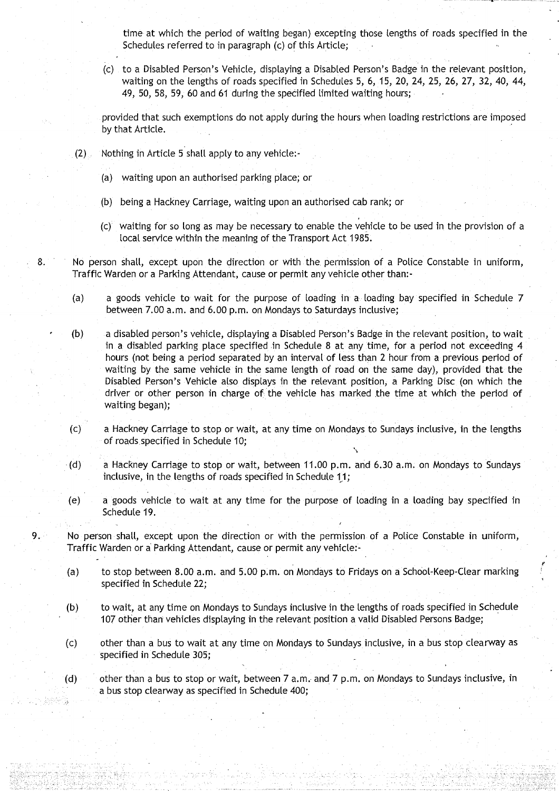time at which the period of waiting began) excepting those lengths of roads specified in the Schedules referred to in paragraph (c) of this Article;

(c) to a Disabled Person's Vehicle, displaying a Disabled Person's Badge in the relevant position, waiting on the lengths of roads specified in Schedules 5, 6, 15, 20, 24, 25, 26, 27, 32, 40, 44, 49, 50, 58, 59, 60 and 61 during the specified limited waiting hours;

provided that such exemptions do not apply during the hours when loading restrictions are imposed by that Article.

- $(2)$  Nothing in Article 5 shall apply to any vehicle:-
	- (a) waiting upon an authorised parking place; or
	- (b) being a Hackney Carriage, waiting upon an authorised cab rank; or
	- (c) waiting for so long as may be necessary to enable the vehicle to be used in the provision of a local service within the meaning of the Transport Act 1985 .
- 8. No person shall, except upon the direction or with the permission of a Police Constable in uniform, Traffic Warden or a Parking Attendant, cause or permit any vehicle other than :
	- (a) a goods vehicle to wait for the purpose of loading in a loading bay specified in Schedule 7 between 7.00 a.m. and 6.00 p.m. on Mondays to Saturdays inclusive;
	- (b) a disabled person's vehicle, displaying a Disabled Person's Badge in the relevant position, to wait in a disabled parking place specified in Schedule 8 at any time, for a period not exceeding 4 hours (not being a period separated by an interval of less than 2 hour from a previous period of waiting by the same vehicle in the same length of road on the same day), provided that the Disabled Person's Vehicle also displays in the relevant position, a Parking Disc (on which the driver or other person in charge of the vehicle has marked the time at which the period of waiting began);
	- (c) a Hackney Carriage to stop or wait, at any time on Mondays to Sundays inclusive, in the lengths of roads specified in Schedule 10;
	- (d) a Hackney Carriage to stop or wait, between 11.00 p.m. and 6.30 a.m. on Mondays to Sundays inclusive, in the lengths of roads specified in Schedule 11;
	- (e) a goods vehicle to wait at any time for the purpose of loading in a loading bay specified in Schedule 19.
- <sup>9</sup> . ~ No person shalt, except upon the direction or with the permission of a Police Constable in uniform, Traffic Warden or a Parking Attendant, cause or permit any vehicle:-
	- (a) to stop between 8 .00 a .m . and 5 .00 p.m. on Mondays to Fridays on a School-Keep-Clear marking specified in Schedule 22;
	- (b) to wait, at any time on Mondays to Sundays inclusive in the lengths of roads specified in Schedule 107 other than vehicles displaying in the relevant position a valid Disabled Persons Badge;
	- (c) other than a bus to wait at any time on Mondays to Sundays inclusive, in a bus stop clearway as specified in Schedule 305;

(d) other than a bus to stop or wait, between 7 a .m . and 7 p .m. on Mondays to Sundays inclusive, in a bus stop clearway as specified in Schedule 400;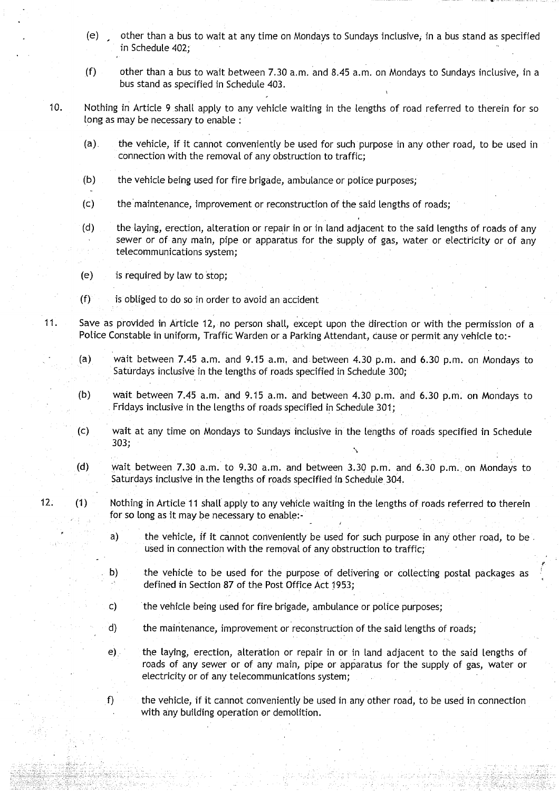- (e) other than a bus to wait at any time on Mondays to Sundays inclusive, in a bus stand as specified in Schedule 402;
- $(f)$  other than a bus to wait between 7.30 a.m. and 8.45 a.m. on Mondays to Sundays inclusive, in a bus stand as specified in Schedule 403 .
- 10. Nothing in Article 9 shall apply to any vehicle waiting in the lengths of road referred to therein for so long as may be necessary to enable :
	- (a) . the vehicle, if it cannot conveniently be used for such purpose in any other road, to be used in connection with the removal of any obstruction to traffic;
	- (b) the vehicle being used for fire brigade, ambulance or police purposes;
	- (c) the maintenance, improvement or reconstruction of the said lengths of roads;
	- (d) the laying, erection, alteration or repair in or in land adjacent to the said lengths of roads of any sewer or of any main, pipe or apparatus for the supply of gas, water or electricity or of any telecommunications system ;
	- (e) is required by law to stop;
	- $(f)$  is obliged to do so in order to avoid an accident
- **<sup>11</sup> .** Save as provided in Article 12, no person shall, except upon the direction or with the permission of a Police Constable in uniform, Traffic Warden or a Parking Attendant, cause or permit any vehicle to:-
	- (a) wait between 7.45 a.m. and 9.15 a.m. and between 4.30 p.m. and 6.30 p.m. on Mondays to Saturdays inclusive in the lengths of roads specified in Schedule 300;
	- (b) wait between 7.45 a .m. and 9.15 a.m . and between 4.30 p.m . and 6 .30 p.m. on Mondays to Fridays inclusive in the lengths of roads specified in Schedule 301;
	- (c) wait at any time on Mondays to Sundays inclusive in the lengths of roads specified in Schedule  $303;$
	- (d) wait between  $7.30$  a.m. to  $9.30$  a.m. and between  $3.30$  p.m. and  $6.30$  p.m. on Mondays to Saturdays inclusive in the lengths of roads specified in Schedule 304.
- 12. (1) Nothing in Article 11 shall apply to any vehicle waiting in the lengths of roads referred to therein for so long as it may be necessary to enable:
	- a) the vehicle, if it cannot conveniently be used for such purpose in any other road, to be used in connection with the removal of any obstruction to traffic;
	- b) the vehicle to be used for the purpose of delivering or collecting postal packages as defined in Section 87 of the Post Office Act 1953;
	- c) the vehicle being used for fire brigade, ambulance or police purposes ;
	- d) the maintenance, improvement or reconstruction of the said lengths of roads;
	- e) the laying, erection, alteration or repair in or in land adjacent to the said lengths of roads of any sewer or of any main, pipe or apparatus for the supply of gas, water or electricity or of any telecommunications system ;
	- $f$  the vehicle, if it cannot conveniently be used in any other road, to be used in connection with any building operation or demolition.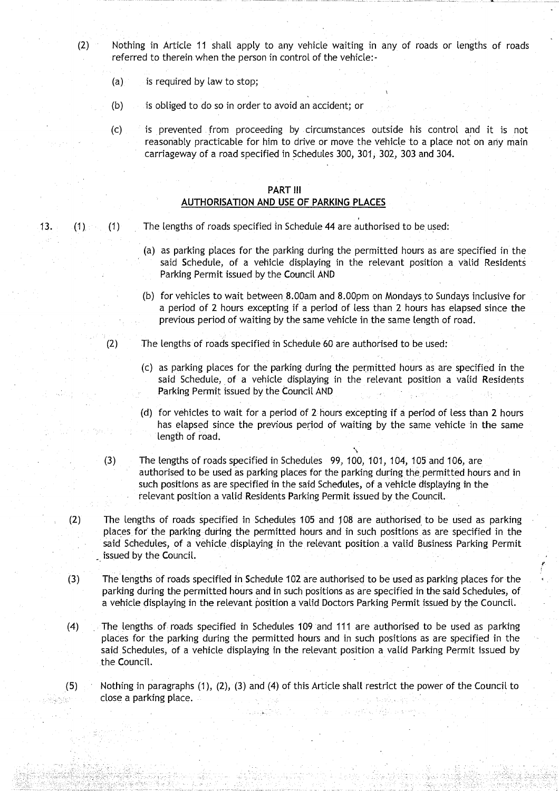- (2) Nothing in Article 11 shalt apply to any vehicle waiting in any of roads **or lengths** of roads referred to therein when the person in control of the vehicle:-
	- $(a)$  is required by law to stop;
	- (b) is obliged to do so in order to avoid an accident; or
	- (c) is prevented . from proceeding by circumstances outside his control and it is not reasonably practicable for him to drive or move the vehicle to a **place not on** any main carriageway of a road specified in Schedules 300, 301, 302, 303 and 304.

#### PART III AUTHORISATION **AND USE OF PARKING PLACES**

- 13. (1) The lengths of roads specified in Schedule 44 are authorised to be used:
	- **(a) as parking** places for the parking **during the** permitted **hours as are** specified in the said Schedule, of a vehicle displaying in the relevant **position a valid Residents** Parking Permit issued by the Council AND
	- (b) for vehicles to wait between **<sup>8</sup> .00am and 8 .00pm on** Mondays to Sundays inclusive for a period of **2 hours excepting** if a period of **less than 2 hours has elapsed since the** previous period of waiting by the same vehicle **in the same length of road.**

(2) The lengths of roads specified **in Schedule** 60 are authorised to be used :

- **(c) as parking** places for **the parking during the permitted hours as are** specified in the **said Schedule**, of a vehicle **displaying in** the relevant position a valid **Residents** Parking Permit issued by the Council AND
- (d) for vehicles to wait for a period of **2 hours excepting** if a period of **less than 2 hours has elapsed since the previous** period of waiting **by the same vehicle in the same length of road.**
- (3) The lengths of roads specified **in Schedules** 99, 100, 101, 104, **105 and 106, are authorised to be used as parking places for the parking** during the. **permitted hours and in such positions as are specified in the said Schedules** , of a vehicle **displaying in the relevant position a valid Residents Parking Permit issued by the** Council.
- (2) The lengths of roads specified **in Schedules 105 and 108 are authorised**: **to be used as parking places for**" the parking **during the** permitted **hours and** in such positions **as are specified in the said Schedules**, of a vehicle displaying in the relevant position, **a valid Business Parking Permit** issued by the Council.
- (3) The lengths of roads specified **in Schedule 102 are authorised to be used as parking** places for the **parking during** the permitted **hours and in such positions as are specified in the said Schedules, of a vehicle displaying** in the relevant position **a valid Doctors Parking Permit** issued by the Council .
- (4) The lengths of roads specified **in Schedules** 109 and 111 **are authorised to be used as parking** places for the parking during the permitted **hours and in such positions as are specified in the said Schedules**, of a vehicle displaying in the relevant **position a valid** Parking Permit issued by the Council.
- **(5) Nothing in** paragraphs (1), (2), (3) and (4) of this Article shall restrict the power of the Council to **close a parking place .**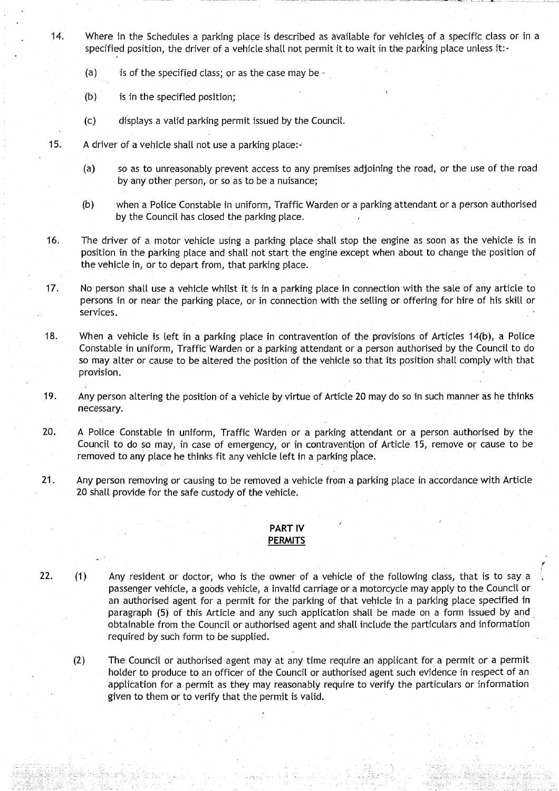- 14. Where in the Schedules a parking place is described as available for vehicles of a specific class or in a specified position, the driver of a vehicle shall not permit it to wait in the parking place unless it:-
	- **(a) is of the specified class**; **or as the case may** be **-**
	- **(b) is in the specified position;**
	- (c) displays a valid parking permit issued by the Council .
- **15. A driver of a vehicle shall not use a parking place :-**
	- **(a) so as to unreasonably prevent access to any premises adjoining the road** , **or the use of the road** by any other **person**, **or so as to be a nuisance ;**
	- **(b) when a Police Constable in uniform, Traffic Warden or a parking attendant or a person authorised by the Council has closed the parking place .**
- **16. The driver of a motor vehicle using a parking place shall stop the engine as soon as the vehicle is in position in the parking place and shall not start the engine except when about to change the position of the vehicle in, or to depart from, that parking place .**
- **17 . No person shall use a vehicle whilst it is in a parking place in connection with the sate of any article to persons in or near the parking place** , **or in connection with the selling or offering for hire of his skill or services.**
- **18. When a vehicle is left in a parking place in contravention of the provisions of Articles 14(b), a Police Constable in uniform**, **Traffic Warden or a parking attendant or a person authorised by the Council to do so may alter or cause to be altered the position of the vehicle so that its position shall comply with that provision.**
- **19 . Any person altering the position of a vehicle by virtue of Article 20 may do so in such manner as he thinks necessa**ry**.**
- 20. A Police Constable in uniform, Traffic Warden or a parking attendant or a person authorised by the **Council to do so may** , **in case of emergency, or in contraventi** on of Article **15, remove or cause to be removed to any place he thinks fit any vehicle left in a parking place .**
- **21 . Any person removing or causing to be removed a vehicle from a parking place in accordance with Article 20 shalt provide for the safe custody of the vehicle .**

#### **PART IV PERMITS**

**22. (1) Any resident or doctor**; **who is the owner of a vehicle of the following class**, **that is to say <sup>a</sup> passenger vehicle**, **a goods vehicle, a invalid carriage or a motorcycle may apply to the Council or an authorised agent for a permit for the parking of that vehicle in a parking place specified in paragraph** (**5) of this Article and any such application shalt be made on a form issued by and obtainable from the Council or authorised agent and shall include the particulars and information** required by such form to be supplied.

p

**(2) The . Council or authorised agent may at any time require an applicant for a permit or a permit . holder to produce to an officer of the Council or authorised agent such evidence in respect of an application for a permit as they may reasonably require to** verify the **particulars or information given to them or to verify that** the permit **is valid.**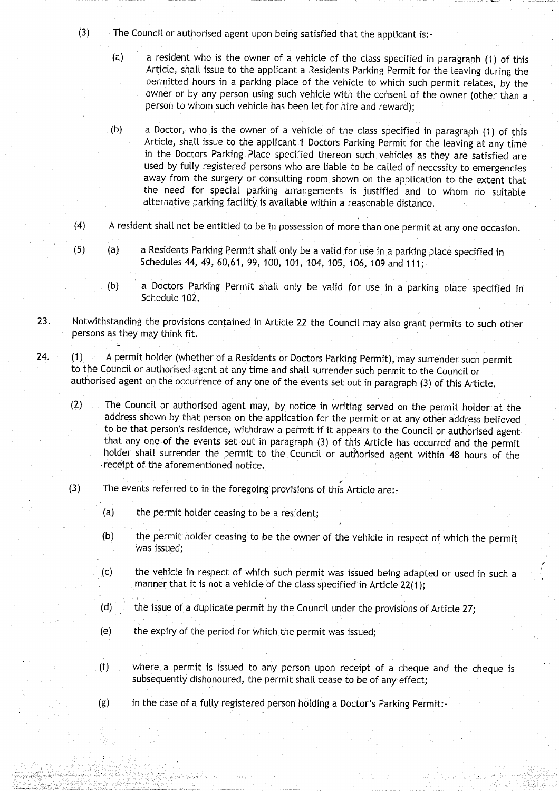(3) The Council or authorised agent upon being satisfied that the applicant is :-

- (a) a resident who is the owner of a vehicle of the class specified in paragraph (1) of this Article, shall issue to the applicant a Residents Parking Permit for the leaving during the permitted hours in a parking place of the vehicle to which such permit relates, by the owner or by any person using such vehicle with the consent of the owner (other than a person to whom such vehicle has been let for hire and reward);
- (b) a Doctor, who is the owner of a vehicle of the class specified in paragraph (1) of this Article, shall issue to the applicant 1 Doctors Parking Permit for the leaving at any time in the Doctors Parking Place specified thereon such vehicles as they are satisfied are used by fully registered persons who are liable to be called of necessity to emergencies away from the surgery or consulting room shown on the application to the extent that the need for special parking arrangements is justified and to whom no suitable alternative parking facility is available within a reasonable distance .
- (4) A resident shall not be entitled to be in possession of more than one permit at any one occasion.
- (5) (a) a Residents Parking Permit shall only be a valid for use in a parking place specified in Schedules 44, 49, 60,61, 99, 100, 101, 104, 105, 106, 109 and 111;
	- (b) a Doctors Parking Permit shall only be valid for use in a parking place specified in Schedule 102.
- 23. Notwithstanding the provisions contained in Article 22 the Council may also grant permits to such other persons as they may think fit.
- 24. (1) A permit holder (whether of a Residents or Doctors Parking Permit), may surrender such permit to the Council or authorised agent at any time and shall surrender such permit to the Council or authorised agent on the occurrence of any one of the events set out in paragraph (3) of this Article .
	- (2) The Council or authorised agent may, by notice in writing served on the permit holder at the address shown by that person on the application for the permit or at any other address believed to be that person's residence, withdraw a permit if it appears to the Council or authorised agent that any one of the events set out in paragraph (3) of this Article has occurred and the permit holder shalt surrender the permit to the Council or authorised agent within 48 hours of the receipt of the aforementioned notice .
	- (3) The events referred to in the foregoing provisions of this Article are :-
		- (a) the permit holder ceasing to be a resident;
		- (b) the permit holder ceasing to be the owner of the vehicle in respect of which the permit was issued;

p

- (c) the vehicle in respect of which such permit was issued being adapted or used in such <sup>a</sup> manner that it is not a vehicle of the class specified in Article 22(1);
- $(d)$  the issue of a duplicate permit by the Council under the provisions of Article 27;
- (e) the expiry of the period for which the permit was issued;
- (f) where a permit is issued to any person upon receipt of a cheque and the cheque is subsequently dishonoured, the permit shall cease to be of any effect;
- (g) in the case of a fully registered person holding a Doctor's Parking Permit:-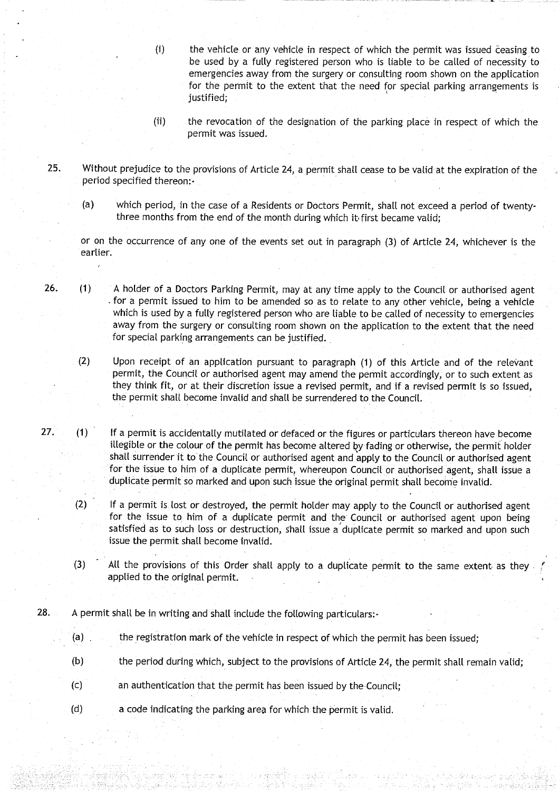- (i) the vehicle or any vehicle in respect of which the permit was issued ceasing to be used by a fully registered person who is liable to be called of necessity to emergencies away from the surgery or consulting room shown on the application for the permit to the extent that the need for special parking arrangements is justified;
- (ii) the revocation of the designation of the parking place in respect of which the permit was issued .
- 25. Without prejudice to the provisions of Article 24, a permit shall cease to be valid at the expiration of the period specified thereon:-
	- (a) which period, in the case of a Residents or Doctors Permit, shall not exceed a period of twentythree months from the end of the month during which it first became valid;

or on the occurrence of any one of the events set out in paragraph (3) of Article 24, whichever is the earlier.

26. (1) A holder of a Doctors Parking Permit, may at any time apply to the Council or authorised agent for a permit issued to him to be amended so as to relate to any other vehicle, being a vehicle which is used by a fully registered person who are liable to be called of necessity to emergencies away from the surgery or consulting room shown on the application to the extent that the need for special parking arrangements can be justified.

(2) Upon receipt of an application pursuant to paragraph (1) of this Article and of the relevant permit, the Council or authorised agent may amend the permit accordingly, or to such extent as they think fit, or at their discretion issue a revised permit, and if a revised permit is so issued, the permit shall become invalid and shall be surrendered to the Council.

- 27. (1) If a permit is accidentally mutilated or defaced or the figures or particulars thereon have become illegible or the colour of the permit has become altered by fading or otherwise, the permit holder shall surrender it to the Council or authorised agent and apply to the Council or authorised agent for the issue to him of a duplicate permit, whereupon Council or authorised agent, shall issue a duplicate permit so marked and upon such issue the original permit shall become invalid.
	- (2) If a permit is lost or destroyed, the permit holder may apply to the Council or authorised agent for the issue to him of a duplicate permit and the Council or authorised agent upon being satisfied as to such loss or destruction, shalt issue a duplicate permit so marked and upon such issue the permit shall become invalid.
	- (3) All the provisions of this Order shall apply to a duplicate permit to the same extent as they applied to the original permit.
- 28. A permit shall be in writing and shall include the following particulars:-
	- (a) the registration mark of the vehicle in respect of which the permit has been issued;
	- (b) the period during which, subject to the provisions of Article 24, the permit shall remain valid;
	- (c) an authentication that the permit has been issued by the Council;
	- (d) a code indicating the parking area for which the permit is valid .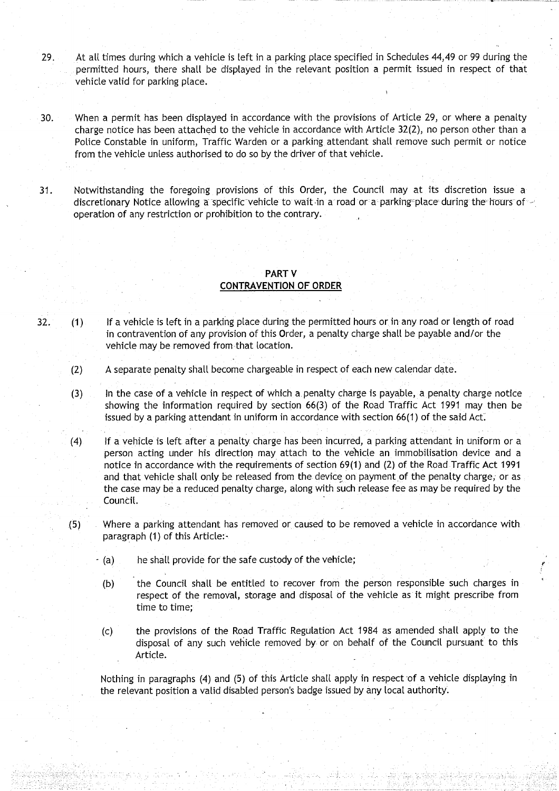- 29. At all times during which a vehicle is left in a parking place specified in Schedules 44,49 or 99 during the permitted hours, there shalt be displayed in the relevant position a permit issued in respect of that vehicle valid for parking place .
- 30. When a permit has been displayed in accordance with the provisions of Article 29, or where a penalty charge notice has been attached to the vehicle in accordance with Article 32(2), no person other than a Police Constable in uniform, Traffic Warden or a parking attendant shall remove such permit or notice from the vehicle unless authorised to do so by the driver of that vehicle.
- <sup>31</sup> . Notwithstanding the foregoing provisions of this Order, the Council may at its discretion issue a discretionary Notice allowing a specific vehicle to wait in a road or a parking place during the hours of  $\sim$ operation of any restriction or prohibition to the contrary.

#### PART V **CONTRAVENTION OF ORDER**

- 32. (1) If a vehicle is left in a parking place during the permitted hours or in any road or length of road in contravention of any provision of this Order, a penalty charge shall be payable and/or the vehicle may be removed from that location.
	- (2) A separate penalty shall become chargeable in respect of each new calendar date .
	- (3) In the case of a vehicle in respect of which a, penalty charge is payable, a penalty charge notice showing the information required by section 66(3) of the Road Traffic Act 1991 may then be issued by a parking attendant in uniform in accordance with section  $66(1)$  of the said Act.
	- (4) If a vehicle is left after a penalty charge has been incurred, a parking attendant in uniform or a person acting under his direction may attach to the vehicle an immobilisation device and a notice in accordance with the requirements of section 69(1) and (2) of the Road Traffic Act 1991 and that vehicle shall only be released from the device on payment of the penalty charge, or as the case may be a reduced penalty charge, along with such release fee as may be required by the Council.
	- .(5) Where a parking attendant has removed or caused to be removed a vehicle in accordance with paragraph (1) of this Article:-
		- $-$  (a) he shall provide for the safe custody of the vehicle;
		- (b) the Council shalt be entitled to recover from the person responsible such charges in respect of the removal, storage and disposal of the vehicle as it might prescribe from time to time;
		- (c) the provisions of the Road Traffic Regulation Act 1984 as amended shall apply to the disposal of any such vehicle removed by or on behalf of the Council pursuant to this Article.

Nothing in paragraphs (4) and (5) of this Article shall apply in respect of a vehicle displaying in the relevant position a valid disabled person's badge issued by any local authority.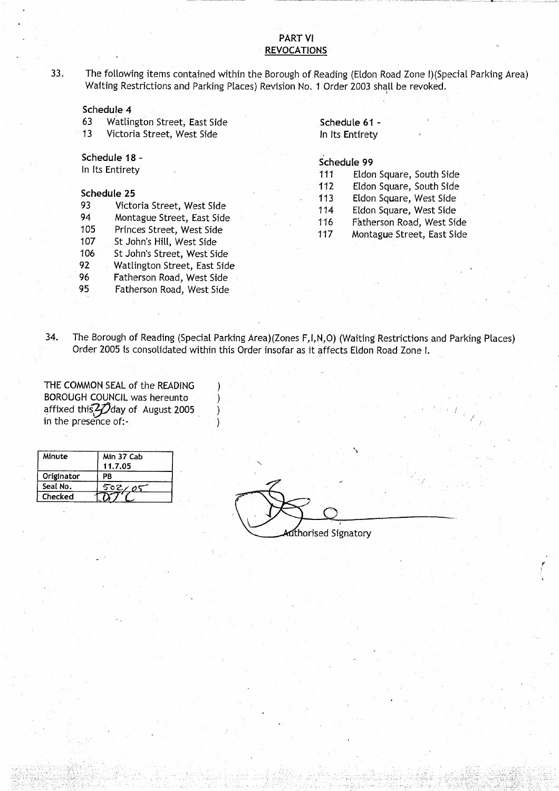#### PART VI **REVOCATIONS**

33. The following items contained within the Borough of Reading (Eldon Road Zone I) (Special Parking Area) Waiting Restrictions and Parking Places) Revision No. 1 Order 2003 shall be revoked.

#### **Schedule 4**

63 Watlington Street, East Side **Schedule 61 -** Victoria Street, West Side In Its Entirety

# **Schedule 18 -**<br> **Schedule 99**

| 93  | Victoria Street, West Side   |
|-----|------------------------------|
| 94  | Montague Street, East Side   |
| 105 | Princes Street, West Side    |
| 107 | St John's Hill, West Side    |
| 106 | St John's Street, West Side  |
| 92  | Watlington Street, East Side |
| 96  | Fatherson Road, West Side    |
| 95  | Fatherson Road, West Side    |
|     |                              |

- Schedule 18 -<br>
In Its Entirety<br>
In Its Entirety<br>
In Its Entirety<br>
In Its Entirety<br>
In Its Eldon Square, South Side<br>
Its Eldon Square, South Side<br>
Its Eldon Square, South Side
- **Schedule 25**<br>**Schedule 25** 112 Eldon Square, South Side<br>113 Eldon Square, West Side
	- Eldon Square, West Side
	- 114 Eldon Square, West Side
	- 116 Fatherson Road, West Side<br>117 Montague Street, East Side
	- Montague Street, East Side

34. The Borough of Reading (Special Parking Area)(Zones F,I,N,O) (Waiting Restrictions and Parking Places) Order 2005 is consolidated within this Order insofar as it affects Eldon Road Zone I.

THE COMMON SEAL of the READING BOROUGH COUNCIL was hereunto (a) affixed this  $2$   $\vec{D}$ day of August 2005 ) 34. The Boodge of Reading (Special Product of the READING<br>THE COMMON SEAL of the READING<br>BOROUGH COUNCIL was hereunto<br>affixed this 27 day of August 2005<br>in the presence of:-

| Minute         | Min 37 Cab<br>11.7.05 |  |
|----------------|-----------------------|--|
| Originator     | PB                    |  |
| Seal No.       | 502/05                |  |
| <b>Checked</b> |                       |  |

thorised Signatory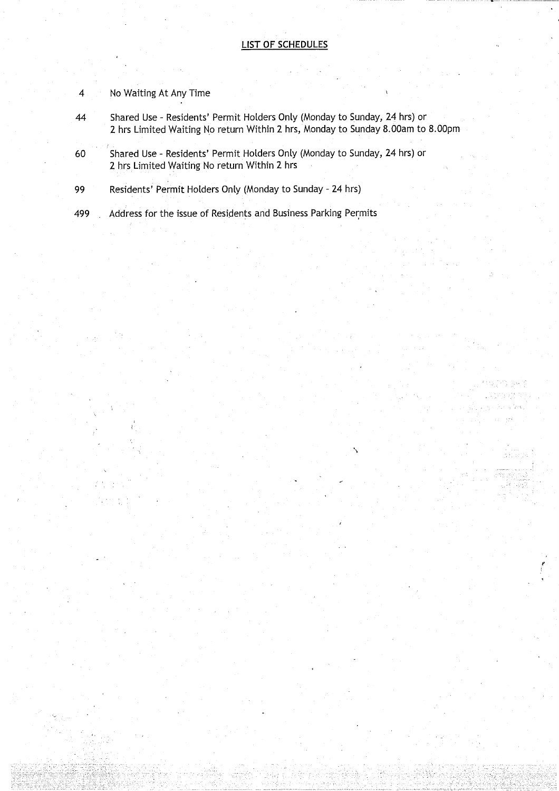- **4** No Waiting At Any Time
- **44 Shared Use Residents** ' **Permit Holders Only** (**Monday to Sunday** , **24 hrs) o r 2 hrs Limited Waiting No return Within 2 hrs, Monday to Sunday 8 .OOam to 8 .OOpm**
- **60 Shared Use Residents** ' **Permit Holders Only** (**Monday to Sunday**, **24 hrs) or 2 hrs Limited Waiting No return Within 2 hrs**
- **99 Residents**' **Permit Holders Only (Monday to Sunday 24 hrs)**

**499 Address for the issue of Residents and Business Parking Permits**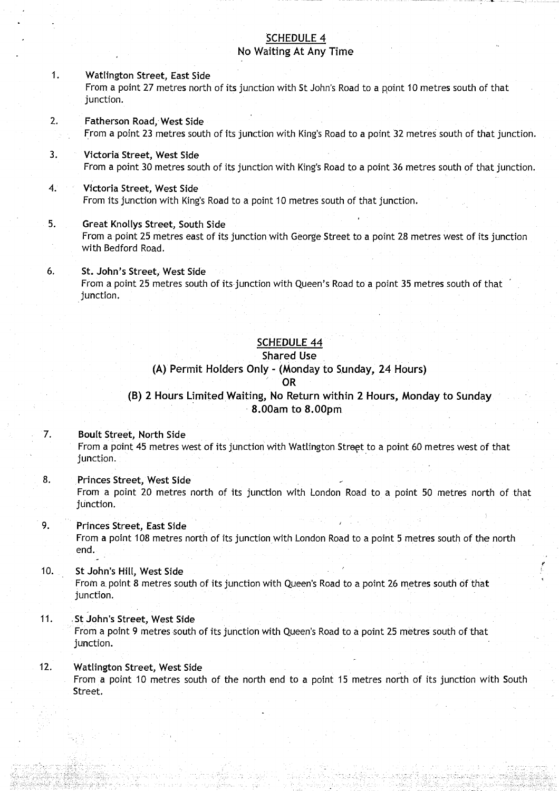#### SCHEDULE 4 No Waiting At Any Time

#### <sup>1</sup> . Watlington **Street, East Side** From a point 27 metres north of its junction with St John's Road to a point 10 metres south of that junction.

- **2. Fatherson Road**, West Side From a point 23 metres south of its junction with King's Road to a point 32 metres south of that junction.
- <sup>3</sup> . Victoria **Street, West Side** From a point 30 metres south of its junction with King's Road to a point 36 metres south of that junction .

#### 4. Victoria **Street, West Side** From its junction with King's Road to a point 10 metres south of that junction.

- **<sup>5</sup> . Great Knollys Street**, **South Side** From a point 25 metres east of its junction with George Street to a point 28 metres west of its junction with Bedford Road.
- **6.** St. John's Street, West Side From a point 25 metres south of its junction with Queen's Road to a point 35 metres south of that junction.

# SCHEDULE 44

#### **Shared Use**

#### **(A) Permit Holders Only** (Monday **to Sunday** , **24 Hours)**

#### **OR**

### **(B) 2 Hours Limited Waiting**, **No Return** within 2 **Hours**, **Monday to Sunda y 8 .00am to 8 .00pm**

#### **7. Boult Street, North Side**

From a point 45 metres west of its junction with Watlington Street to a point 60 metres west of that junction.

**<sup>8</sup> . Princes Street**, **West Side** From a point 20 metres north of its junction with London Road to a point 50 metres north of that **junction .**

#### **<sup>9</sup> . Princes Street**, **East Side** From a point 108 metres north of its junction with London Road to a point 5 metres south of the north end.

#### 10. St John's Hill, West Side From a. point 8 metres south of its junction with Queen **'s Road to a** point 26 metres south of that junction.

# 11 . . St John'**s Street**, **West Side**

From a point 9 metres south of its junction with Queen's Road to a point 25 metres south of that junction.

#### **12. Watlington Street**, **West Side**

From a point 10 metres south of the north end to a point 15 metres north of its junction with South Street.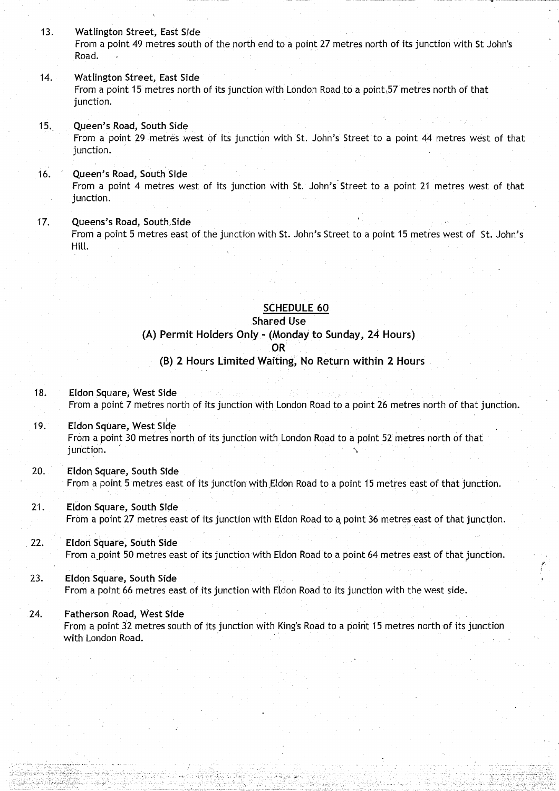<sup>13</sup> . Watlington Street, **East Side** From a point 49 metres south of the north end to a point 27 metres north of its junction with St John's Road.

#### 14. Watlington Street, **East Side** From a point 15 metres north of its junction with London Road to a point,57 metres north of that junction.

#### <sup>15</sup> . Queen's **Road**, **South Side** From a point 29 metres west of its junction with St. John's Street to a point 44 metres west of that junction.

#### **16. Queen's Road**, **South Side** From a point 4 metres west of its junction with St. John's Street to a point 21 metres west of that junction.

# 17. Queens's **Road, South .Side**

From a point 5 metres east of the junction with St. John's Street to a point 15 metres west of St. John's Hill.

**SCHEDULE 60**

#### **Shared Use**

#### **(A) Permit Holders** Only .- (Monday **to Sunday**, **24 Hours) OR**

#### **(B) 2 Hours Limited Waiting**, **No Return within 2 Hours**

**18. Eldon Square, West Side** From a point 7 metres north of its junction with London Road to a point 26 metres north of that junction.

- **<sup>19</sup> . Eldon Square**, **West Side** From a point 30 metres north of its junction with London Road to a point 52 metres north of that junction.
- **20. Eldon Square**, **South Side** From a point 5 metres east of its junction with Eldon Road to a point 15 metres east of that junction .
- **21 . Eldon Square, South Side** From a point 27 metres east of its junction with Eldon Road to a, point 36 metres east of that junction .
- **22 . Eldon Square, South Side** From a point 50 metres east of its junction with Eldon Road to a point 64 metres east of that junction.
- **23. Eldon Square**, **South Side** From a point 66 metres east of its junction with Eldon Road to its junction with the west side.

#### 24. Fa**therson Road, West Side**

From a point 32 metres south of its junction with King's Road to a point 15 metres north of its junction with London Road.